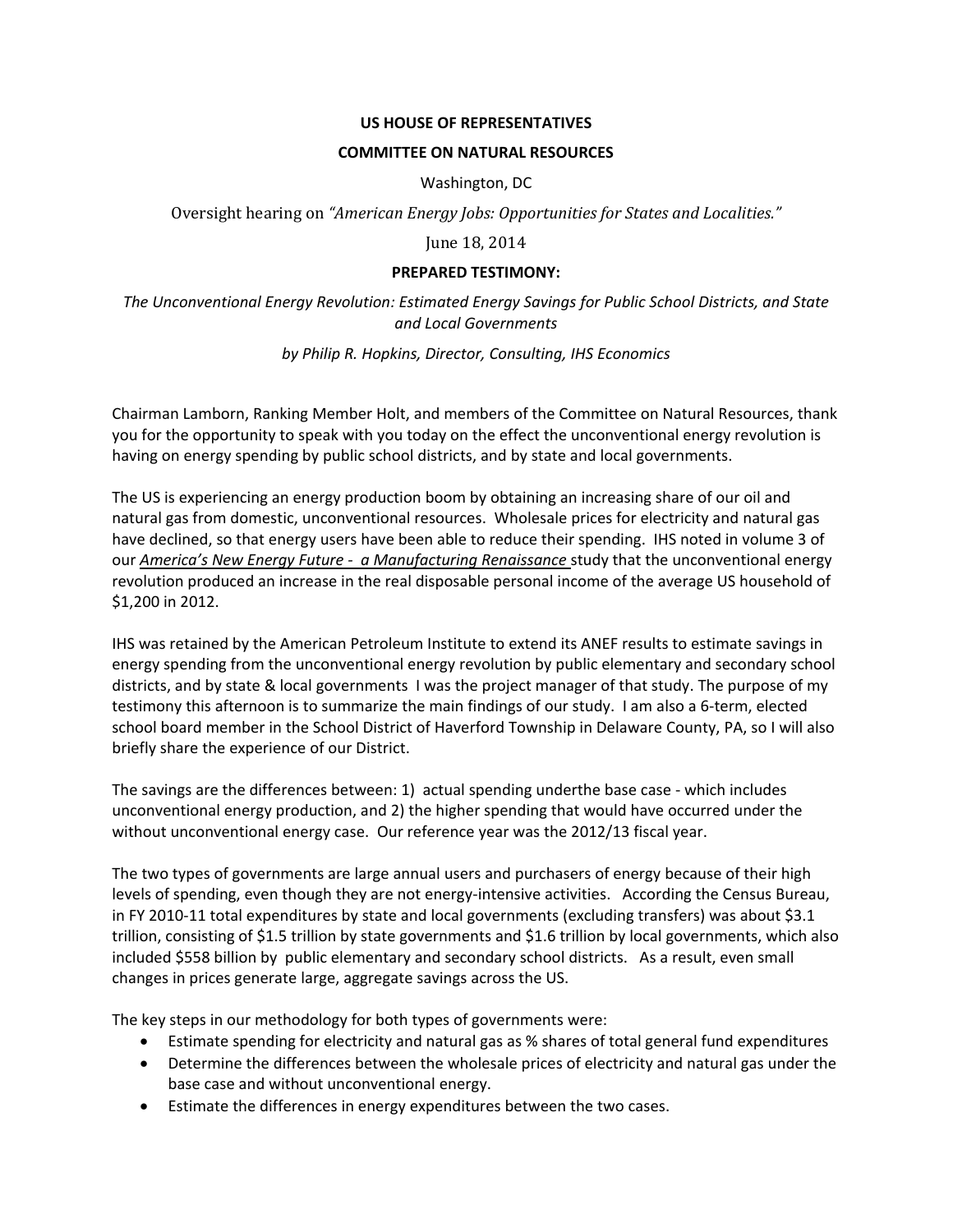## **US HOUSE OF REPRESENTATIVES**

## **COMMITTEE ON NATURAL RESOURCES**

Washington, DC

Oversight hearing on *"American Energy Jobs: Opportunities for States and Localities."*

June 18, 2014

## **PREPARED TESTIMONY:**

*The Unconventional Energy Revolution: Estimated Energy Savings for Public School Districts, and State and Local Governments*

*by Philip R. Hopkins, Director, Consulting, IHS Economics*

Chairman Lamborn, Ranking Member Holt, and members of the Committee on Natural Resources, thank you for the opportunity to speak with you today on the effect the unconventional energy revolution is having on energy spending by public school districts, and by state and local governments.

The US is experiencing an energy production boom by obtaining an increasing share of our oil and natural gas from domestic, unconventional resources. Wholesale prices for electricity and natural gas have declined, so that energy users have been able to reduce their spending. IHS noted in volume 3 of our *America's New Energy Future - a Manufacturing Renaissance* study that the unconventional energy revolution produced an increase in the real disposable personal income of the average US household of \$1,200 in 2012.

IHS was retained by the American Petroleum Institute to extend its ANEF results to estimate savings in energy spending from the unconventional energy revolution by public elementary and secondary school districts, and by state & local governments I was the project manager of that study. The purpose of my testimony this afternoon is to summarize the main findings of our study. I am also a 6-term, elected school board member in the School District of Haverford Township in Delaware County, PA, so I will also briefly share the experience of our District.

The savings are the differences between: 1) actual spending underthe base case - which includes unconventional energy production, and 2) the higher spending that would have occurred under the without unconventional energy case. Our reference year was the 2012/13 fiscal year.

The two types of governments are large annual users and purchasers of energy because of their high levels of spending, even though they are not energy-intensive activities. According the Census Bureau, in FY 2010-11 total expenditures by state and local governments (excluding transfers) was about \$3.1 trillion, consisting of \$1.5 trillion by state governments and \$1.6 trillion by local governments, which also included \$558 billion by public elementary and secondary school districts. As a result, even small changes in prices generate large, aggregate savings across the US.

The key steps in our methodology for both types of governments were:

- Estimate spending for electricity and natural gas as % shares of total general fund expenditures
- Determine the differences between the wholesale prices of electricity and natural gas under the base case and without unconventional energy.
- Estimate the differences in energy expenditures between the two cases.